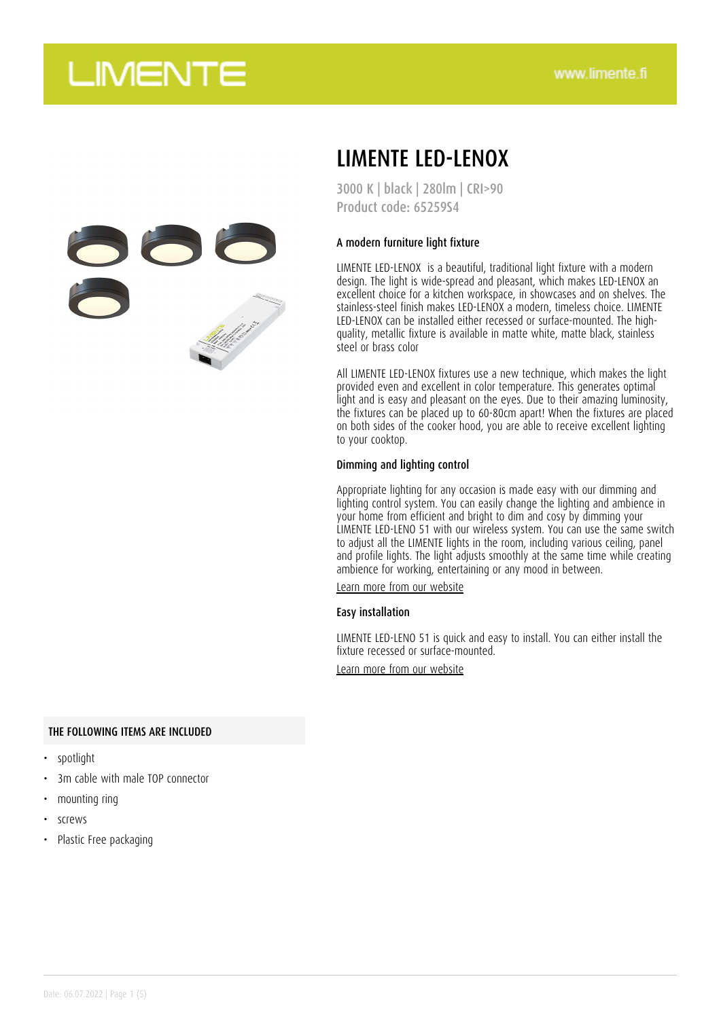

## LIMENTE LED-LENOX

3000 K | black | 280lm | CRI>90 Product code: 65259S4

### A modern furniture light fixture

LIMENTE LED-LENOX is a beautiful, traditional light fixture with a modern design. The light is wide-spread and pleasant, which makes LED-LENOX an excellent choice for a kitchen workspace, in showcases and on shelves. The stainless-steel finish makes LED-LENOX a modern, timeless choice. LIMENTE LED-LENOX can be installed either recessed or surface-mounted. The highquality, metallic fixture is available in matte white, matte black, stainless steel or brass color

All LIMENTE LED-LENOX fixtures use a new technique, which makes the light provided even and excellent in color temperature. This generates optimal light and is easy and pleasant on the eyes. Due to their amazing luminosity, the fixtures can be placed up to 60-80cm apart! When the fixtures are placed on both sides of the cooker hood, you are able to receive excellent lighting to your cooktop.

#### Dimming and lighting control

Appropriate lighting for any occasion is made easy with our dimming and lighting control system. You can easily change the lighting and ambience in your home from efficient and bright to dim and cosy by dimming your LIMENTE LED-LENO 51 with our wireless system. You can use the same switch to adjust all the LIMENTE lights in the room, including various ceiling, panel and profile lights. The light adjusts smoothly at the same time while creating ambience for working, entertaining or any mood in between.

[Learn more from our website](https://www.limente.fi/tuotteet/65259S4)

#### Easy installation

LIMENTE LED-LENO 51 is quick and easy to install. You can either install the fixture recessed or surface-mounted.

[Learn more from our website](https://www.limente.fi/tuotteet/65259S4)

#### THE FOLLOWING ITEMS ARE INCLUDED

- spotlight
- 3m cable with male TOP connector
- mounting ring
- screws
- Plastic Free packaging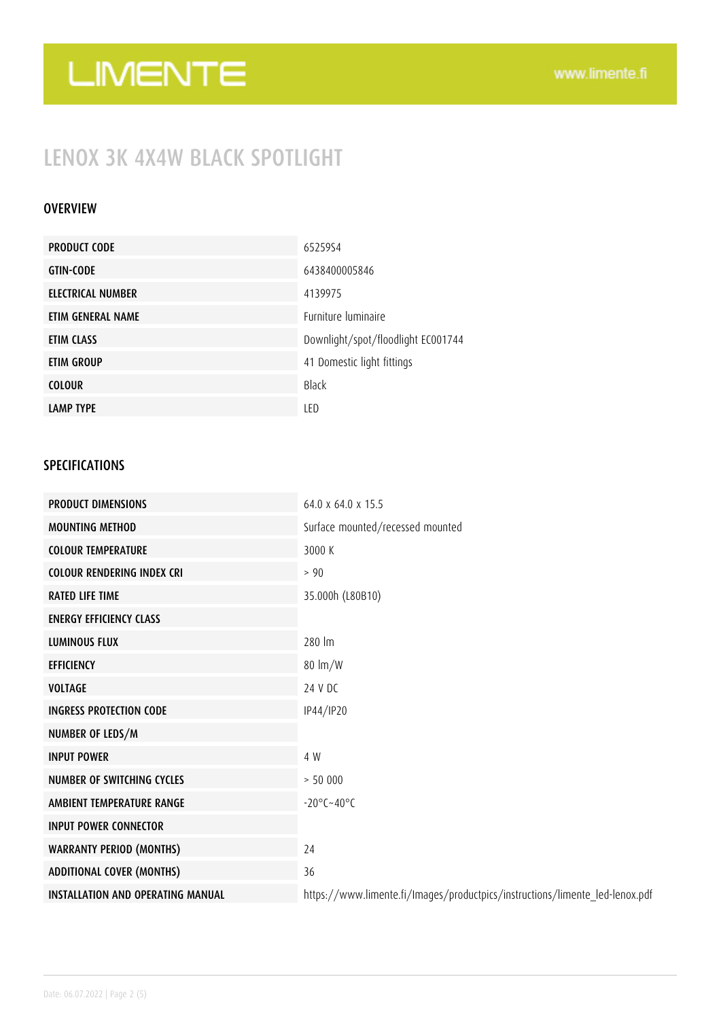## LENOX 3K 4X4W BLACK SPOTLIGHT

### OVERVIEW

| <b>PRODUCT CODE</b> | 6525954                            |
|---------------------|------------------------------------|
| <b>GTIN-CODE</b>    | 6438400005846                      |
| ELECTRICAL NUMBER   | 4139975                            |
| ETIM GENERAL NAME   | Furniture luminaire                |
| ETIM CLASS          | Downlight/spot/floodlight EC001744 |
| ETIM GROUP          | 41 Domestic light fittings         |
| <b>COLOUR</b>       | Black                              |
| <b>LAMP TYPE</b>    | LED                                |

### SPECIFICATIONS

| <b>PRODUCT DIMENSIONS</b>                | $64.0 \times 64.0 \times 15.5$                                               |
|------------------------------------------|------------------------------------------------------------------------------|
| <b>MOUNTING METHOD</b>                   | Surface mounted/recessed mounted                                             |
| <b>COLOUR TEMPERATURE</b>                | 3000 K                                                                       |
| <b>COLOUR RENDERING INDEX CRI</b>        | $> 90$                                                                       |
| <b>RATED LIFE TIME</b>                   | 35.000h (L80B10)                                                             |
| <b>ENERGY EFFICIENCY CLASS</b>           |                                                                              |
| <b>LUMINOUS FLUX</b>                     | 280 lm                                                                       |
| <b>EFFICIENCY</b>                        | $80 \text{ lm/W}$                                                            |
| <b>VOLTAGE</b>                           | 24 V DC                                                                      |
| <b>INGRESS PROTECTION CODE</b>           | IP44/IP20                                                                    |
| NUMBER OF LEDS/M                         |                                                                              |
| <b>INPUT POWER</b>                       | 4 W                                                                          |
| NUMBER OF SWITCHING CYCLES               | > 50000                                                                      |
| AMBIENT TEMPERATURE RANGE                | $-20^{\circ}$ C $-40^{\circ}$ C                                              |
| <b>INPUT POWER CONNECTOR</b>             |                                                                              |
| <b>WARRANTY PERIOD (MONTHS)</b>          | 24                                                                           |
| <b>ADDITIONAL COVER (MONTHS)</b>         | 36                                                                           |
| <b>INSTALLATION AND OPERATING MANUAL</b> | https://www.limente.fi/Images/productpics/instructions/limente_led-lenox.pdf |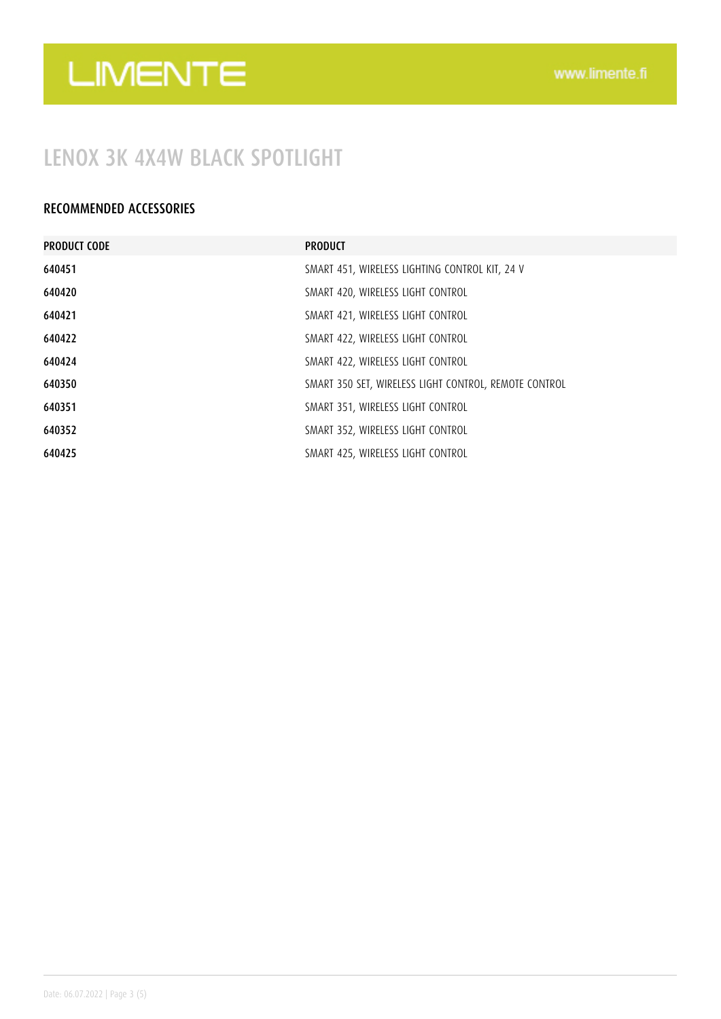### LENOX 3K 4X4W BLACK SPOTLIGHT

### RECOMMENDED ACCESSORIES

| <b>PRODUCT CODE</b> | <b>PRODUCT</b>                                        |
|---------------------|-------------------------------------------------------|
| 640451              | SMART 451, WIRELESS LIGHTING CONTROL KIT, 24 V        |
| 640420              | SMART 420, WIRELESS LIGHT CONTROL                     |
| 640421              | SMART 421, WIRELESS LIGHT CONTROL                     |
| 640422              | SMART 422, WIRELESS LIGHT CONTROL                     |
| 640424              | SMART 422, WIRELESS LIGHT CONTROL                     |
| 640350              | SMART 350 SET, WIRELESS LIGHT CONTROL, REMOTE CONTROL |
| 640351              | SMART 351, WIRELESS LIGHT CONTROL                     |
| 640352              | SMART 352, WIRELESS LIGHT CONTROL                     |
| 640425              | SMART 425, WIRELESS LIGHT CONTROL                     |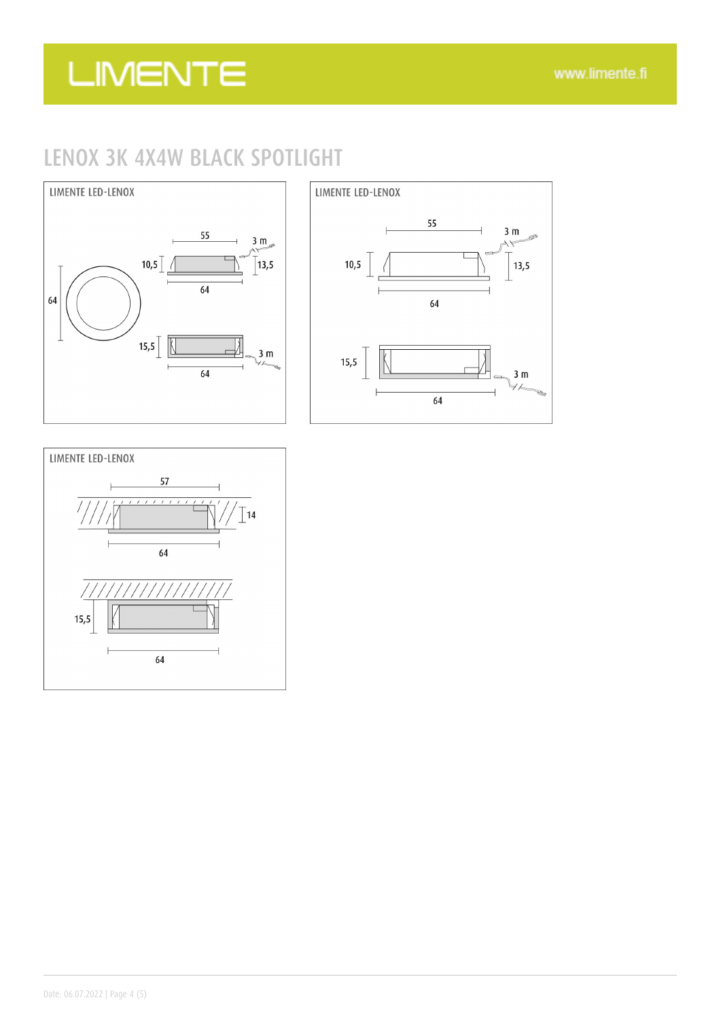## LENOX 3K 4X4W BLACK SPOTLIGHT